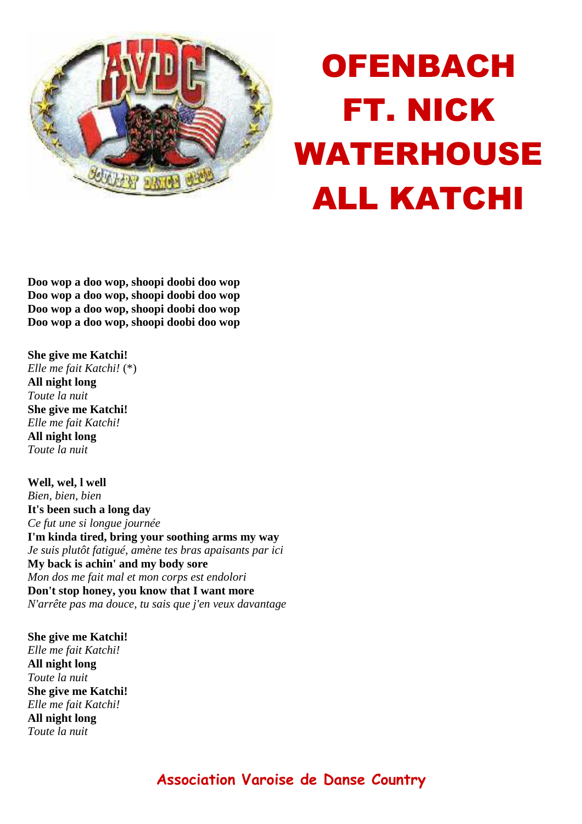

## OFENBACH FT. NICK WATERHOUSE ALL KATCHI

**Doo wop a doo wop, shoopi doobi doo wop Doo wop a doo wop, shoopi doobi doo wop Doo wop a doo wop, shoopi doobi doo wop Doo wop a doo wop, shoopi doobi doo wop** 

**She give me Katchi!** *Elle me fait Katchi!* (\*) **All night long** *Toute la nuit* **She give me Katchi!** *Elle me fait Katchi!* **All night long** *Toute la nuit*

**Well, wel, l well** *Bien, bien, bien* **It's been such a long day** *Ce fut une si longue journée* **I'm kinda tired, bring your soothing arms my way** *Je suis plutôt fatigué, amène tes bras apaisants par ici* **My back is achin' and my body sore** *Mon dos me fait mal et mon corps est endolori* **Don't stop honey, you know that I want more** *N'arrête pas ma douce, tu sais que j'en veux davantage*

**She give me Katchi!** *Elle me fait Katchi!* **All night long** *Toute la nuit* **She give me Katchi!** *Elle me fait Katchi!* **All night long** *Toute la nuit*